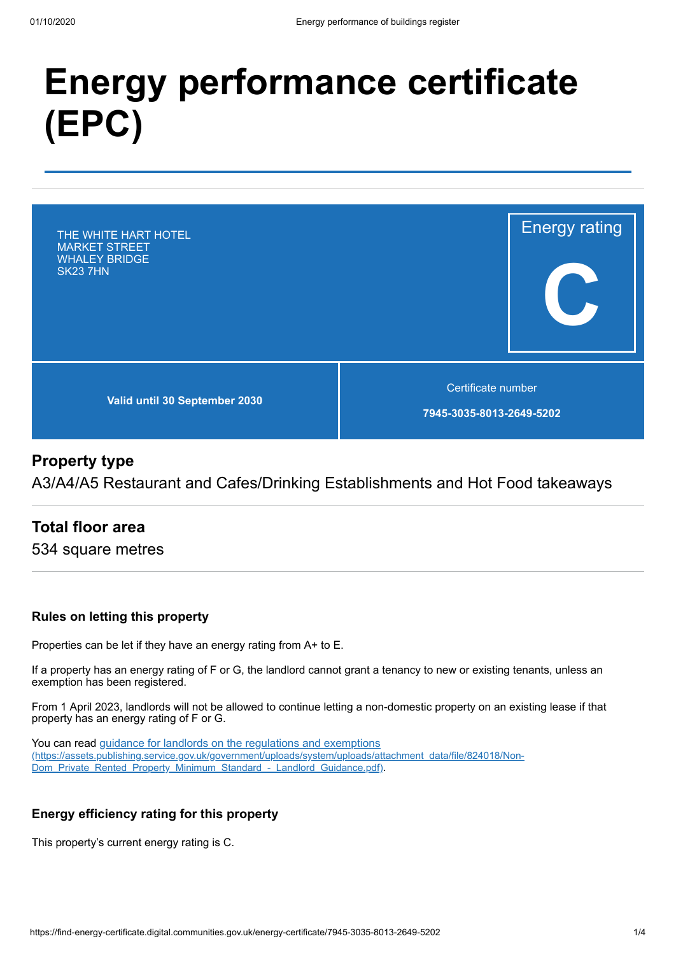# **Energy performance certificate (EPC)**



# **Property type**

A3/A4/A5 Restaurant and Cafes/Drinking Establishments and Hot Food takeaways

# **Total floor area**

534 square metres

## **Rules on letting this property**

Properties can be let if they have an energy rating from A+ to E.

If a property has an energy rating of F or G, the landlord cannot grant a tenancy to new or existing tenants, unless an exemption has been registered.

From 1 April 2023, landlords will not be allowed to continue letting a non-domestic property on an existing lease if that property has an energy rating of F or G.

You can read guidance for landlords on the regulations and exemptions [\(https://assets.publishing.service.gov.uk/government/uploads/system/uploads/attachment\\_data/file/824018/Non-](https://assets.publishing.service.gov.uk/government/uploads/system/uploads/attachment_data/file/824018/Non-Dom_Private_Rented_Property_Minimum_Standard_-_Landlord_Guidance.pdf)Dom\_Private\_Rented\_Property\_Minimum\_Standard\_-\_Landlord\_Guidance.pdf).

## **Energy efficiency rating for this property**

This property's current energy rating is C.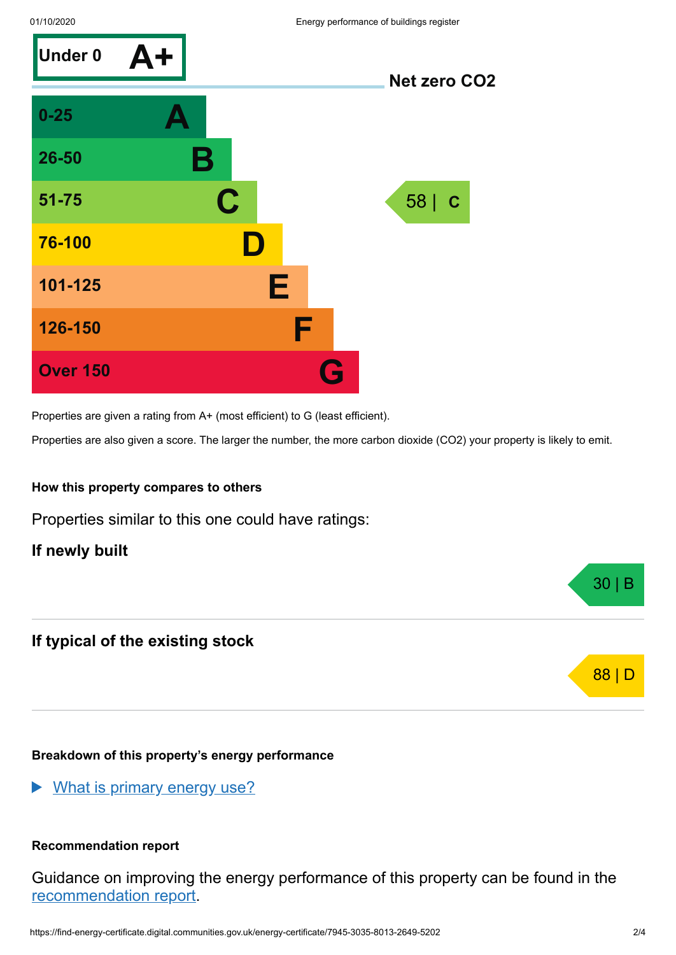

Properties are given a rating from A+ (most efficient) to G (least efficient).

Properties are also given a score. The larger the number, the more carbon dioxide (CO2) your property is likely to emit.

## **How this property compares to others**

Properties similar to this one could have ratings:

**If newly built**

# **If typical of the existing stock**

## **Breakdown of this property's energy performance**

What is primary energy use?

## **Recommendation report**

Guidance on improving the energy performance of this property can be found in the [recommendation](https://find-energy-certificate.digital.communities.gov.uk/energy-certificate/5034-6388-0630-9764-1258) report.

30 | B

88 | D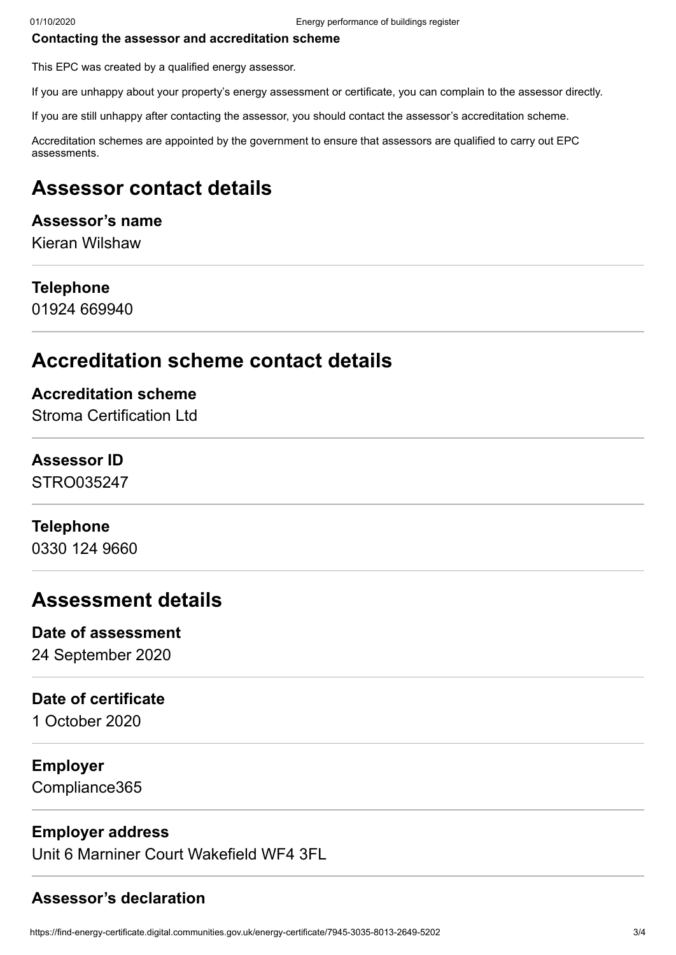#### **Contacting the assessor and accreditation scheme**

This EPC was created by a qualified energy assessor.

If you are unhappy about your property's energy assessment or certificate, you can complain to the assessor directly.

If you are still unhappy after contacting the assessor, you should contact the assessor's accreditation scheme.

Accreditation schemes are appointed by the government to ensure that assessors are qualified to carry out EPC assessments.

# **Assessor contact details**

## **Assessor's name**

Kieran Wilshaw

## **Telephone**

01924 669940

# **Accreditation scheme contact details**

## **Accreditation scheme**

Stroma Certification Ltd

## **Assessor ID**

STRO035247

## **Telephone**

0330 124 9660

# **Assessment details**

## **Date of assessment**

24 September 2020

## **Date of certificate**

1 October 2020

# **Employer**

Compliance365

# **Employer address**

Unit 6 Marniner Court Wakefield WF4 3FL

# **Assessor's declaration**